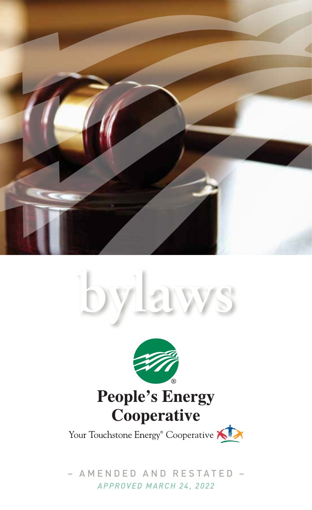





Your Touchstone Energy<sup>®</sup> Cooperative AIX

– AMENDED AND RESTATED – *APPROVED MARCH 24, 2022*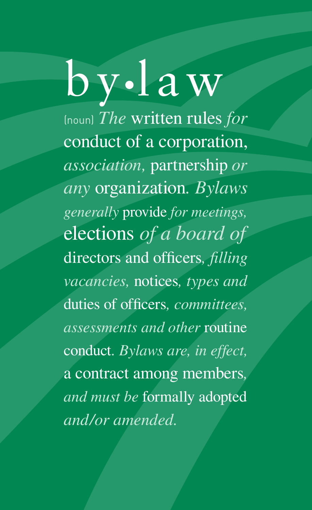# by•law

(noun) *The* written rules *for*  conduct of a corporation, *association,* partnership *or any* organization*. Bylaws generally* provide *for meetings,*  elections *of a board of*  directors and officers*, filling vacancies,* notices*, types and*  duties of officers*, committees, assessments and other* routine conduct*. Bylaws are, in effect,*  a contract among members*, and must be* formally adopted *and/or amended.*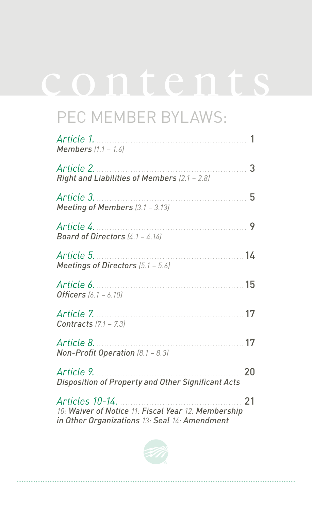## contents

## PEC MEMBER BYLAWS:

| Article 1.<br><b>Members</b> $(1.1 - 1.6)$                                                                              | 1  |
|-------------------------------------------------------------------------------------------------------------------------|----|
| Article 2.<br>Right and Liabilities of Members (2.1 - 2.8)                                                              | 3  |
| Article 3.<br>Meeting of Members (3.1 - 3.13)                                                                           | 5  |
| Article 4.<br>Board of Directors $(4.1 - 4.14)$                                                                         | 9  |
| Article 5.<br>Meetings of Directors (5.1 - 5.6)                                                                         | 14 |
| Article 6.<br><b>Officers</b> $(6.1 - 6.10)$                                                                            | 15 |
| Article 7.<br><b>Contracts</b> $(7.1 - 7.3)$                                                                            | 17 |
| Article 8.<br>.<br>Non-Profit Operation (8.1 - 8.3)                                                                     | 17 |
| Article 9.<br><b>Disposition of Property and Other Significant Acts</b>                                                 | 20 |
| Articles 10-14.<br>10: Waiver of Notice 11: Fiscal Year 12: Membership<br>in Other Organizations 13: Seal 14: Amendment | 21 |

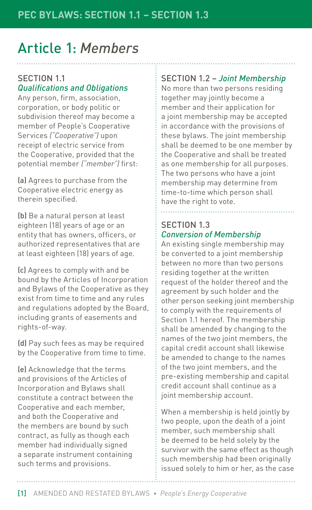## Article 1: *Members*

#### SECTION 1.1 *Qualifications and Obligations*

Any person, firm, association, corporation, or body politic or subdivision thereof may become a member of People's Cooperative Services *("Cooperative")* upon receipt of electric service from the Cooperative, provided that the potential member *("member")* first:

(a) Agrees to purchase from the Cooperative electric energy as therein specified.

(b) Be a natural person at least eighteen (18) years of age or an entity that has owners, officers, or authorized representatives that are at least eighteen (18) years of age.

(c) Agrees to comply with and be bound by the Articles of Incorporation and Bylaws of the Cooperative as they exist from time to time and any rules and regulations adopted by the Board, including grants of easements and rights-of-way.

(d) Pay such fees as may be required by the Cooperative from time to time.

(e) Acknowledge that the terms and provisions of the Articles of Incorporation and Bylaws shall constitute a contract between the Cooperative and each member, and both the Cooperative and the members are bound by such contract, as fully as though each member had individually signed a separate instrument containing such terms and provisions.

#### SECTION 1.2 – *Joint Membership*

No more than two persons residing together may jointly become a member and their application for a joint membership may be accepted in accordance with the provisions of these bylaws. The joint membership shall be deemed to be one member by the Cooperative and shall be treated as one membership for all purposes. The two persons who have a joint membership may determine from time-to-time which person shall have the right to vote.

#### SECTION 1.3 *Conversion of Membership*

An existing single membership may be converted to a joint membership between no more than two persons residing together at the written request of the holder thereof and the agreement by such holder and the other person seeking joint membership to comply with the requirements of Section 1.1 hereof. The membership shall be amended by changing to the names of the two joint members, the capital credit account shall likewise be amended to change to the names of the two joint members, and the pre-existing membership and capital credit account shall continue as a joint membership account.

When a membership is held jointly by two people, upon the death of a joint member, such membership shall be deemed to be held solely by the survivor with the same effect as though such membership had been originally issued solely to him or her, as the case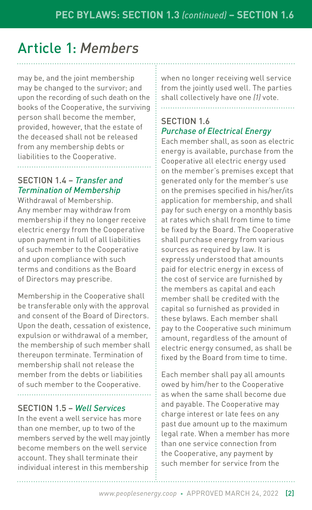## Article 1: *Members*

may be, and the joint membership may be changed to the survivor; and upon the recording of such death on the books of the Cooperative, the surviving person shall become the member, provided, however, that the estate of the deceased shall not be released from any membership debts or liabilities to the Cooperative.

#### SECTION 1.4 – *Transfer and Termination of Membership*

Withdrawal of Membership. Any member may withdraw from membership if they no longer receive electric energy from the Cooperative upon payment in full of all liabilities of such member to the Cooperative and upon compliance with such terms and conditions as the Board of Directors may prescribe.

Membership in the Cooperative shall be transferable only with the approval and consent of the Board of Directors. Upon the death, cessation of existence, expulsion or withdrawal of a member, the membership of such member shall thereupon terminate. Termination of membership shall not release the member from the debts or liabilities of such member to the Cooperative.

#### SECTION 1.5 – *Well Services*

In the event a well service has more than one member, up to two of the members served by the well may jointly become members on the well service account. They shall terminate their individual interest in this membership

when no longer receiving well service from the jointly used well. The parties shall collectively have one *(1)* vote.

#### SECTION 1.6 *Purchase of Electrical Energy*

Each member shall, as soon as electric energy is available, purchase from the Cooperative all electric energy used on the member's premises except that generated only for the member's use on the premises specified in his/her/its application for membership, and shall pay for such energy on a monthly basis at rates which shall from time to time be fixed by the Board. The Cooperative shall purchase energy from various sources as required by law. It is expressly understood that amounts paid for electric energy in excess of the cost of service are furnished by the members as capital and each member shall be credited with the capital so furnished as provided in these bylaws. Each member shall pay to the Cooperative such minimum amount, regardless of the amount of electric energy consumed, as shall be fixed by the Board from time to time.

Each member shall pay all amounts owed by him/her to the Cooperative as when the same shall become due and payable. The Cooperative may charge interest or late fees on any past due amount up to the maximum legal rate. When a member has more than one service connection from the Cooperative, any payment by such member for service from the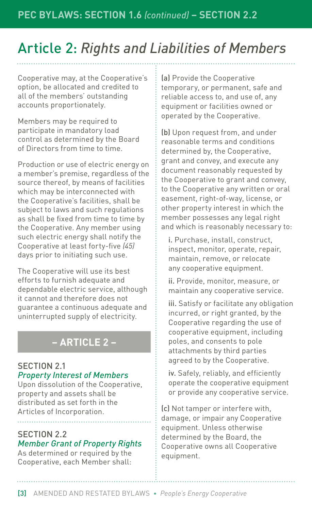## Article 2: *Rights and Liabilities of Members*

Cooperative may, at the Cooperative's option, be allocated and credited to all of the members' outstanding accounts proportionately.

Members may be required to participate in mandatory load control as determined by the Board of Directors from time to time.

Production or use of electric energy on a member's premise, regardless of the source thereof, by means of facilities which may be interconnected with the Cooperative's facilities, shall be subject to laws and such regulations as shall be fixed from time to time by the Cooperative. Any member using such electric energy shall notify the Cooperative at least forty-five *(45)* days prior to initiating such use.

The Cooperative will use its best efforts to furnish adequate and dependable electric service, although it cannot and therefore does not guarantee a continuous adequate and uninterrupted supply of electricity.

### **– ARTICLE 2 –**

#### SECTION 2.1 *Property Interest of Members*

Upon dissolution of the Cooperative, property and assets shall be distributed as set forth in the Articles of Incorporation.

#### SECTION 2.2 *Member Grant of Property Rights*

As determined or required by the Cooperative, each Member shall: (a) Provide the Cooperative temporary, or permanent, safe and reliable access to, and use of, any equipment or facilities owned or operated by the Cooperative.

(b) Upon request from, and under reasonable terms and conditions determined by, the Cooperative, grant and convey, and execute any document reasonably requested by the Cooperative to grant and convey, to the Cooperative any written or oral easement, right-of-way, license, or other property interest in which the member possesses any legal right and which is reasonably necessary to:

i. Purchase, install, construct, inspect, monitor, operate, repair, maintain, remove, or relocate any cooperative equipment.

ii. Provide, monitor, measure, or maintain any cooperative service.

iii. Satisfy or facilitate any obligation incurred, or right granted, by the Cooperative regarding the use of cooperative equipment, including poles, and consents to pole attachments by third parties agreed to by the Cooperative.

iv. Safely, reliably, and efficiently operate the cooperative equipment or provide any cooperative service.

(c) Not tamper or interfere with, damage, or impair any Cooperative equipment. Unless otherwise determined by the Board, the Cooperative owns all Cooperative equipment.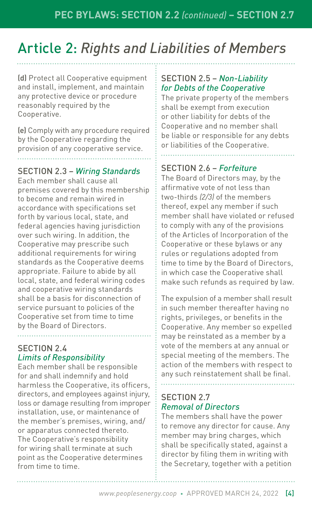## Article 2: *Rights and Liabilities of Members*

(d) Protect all Cooperative equipment and install, implement, and maintain any protective device or procedure reasonably required by the Cooperative.

(e) Comply with any procedure required by the Cooperative regarding the provision of any cooperative service.

#### SECTION 2.3 – *Wiring Standards*

Each member shall cause all premises covered by this membership to become and remain wired in accordance with specifications set forth by various local, state, and federal agencies having jurisdiction over such wiring. In addition, the Cooperative may prescribe such additional requirements for wiring standards as the Cooperative deems appropriate. Failure to abide by all local, state, and federal wiring codes and cooperative wiring standards shall be a basis for disconnection of service pursuant to policies of the Cooperative set from time to time by the Board of Directors.

#### SECTION 2.4 *Limits of Responsibility*

Each member shall be responsible for and shall indemnify and hold harmless the Cooperative, its officers, directors, and employees against injury, loss or damage resulting from improper installation, use, or maintenance of the member's premises, wiring, and/ or apparatus connected thereto. The Cooperative's responsibility for wiring shall terminate at such point as the Cooperative determines from time to time.

#### SECTION 2.5 – *Non-Liability for Debts of the Cooperative*

The private property of the members shall be exempt from execution or other liability for debts of the Cooperative and no member shall be liable or responsible for any debts or liabilities of the Cooperative.

#### SECTION 2.6 – *Forfeiture*

The Board of Directors may, by the affirmative vote of not less than two-thirds *(2/3)* of the members thereof, expel any member if such member shall have violated or refused to comply with any of the provisions of the Articles of Incorporation of the Cooperative or these bylaws or any rules or regulations adopted from time to time by the Board of Directors, in which case the Cooperative shall make such refunds as required by law.

The expulsion of a member shall result in such member thereafter having no rights, privileges, or benefits in the Cooperative. Any member so expelled may be reinstated as a member by a vote of the members at any annual or special meeting of the members. The action of the members with respect to any such reinstatement shall be final.

#### SECTION 2.7 *Removal of Directors*

The members shall have the power to remove any director for cause. Any member may bring charges, which shall be specifically stated, against a director by filing them in writing with the Secretary, together with a petition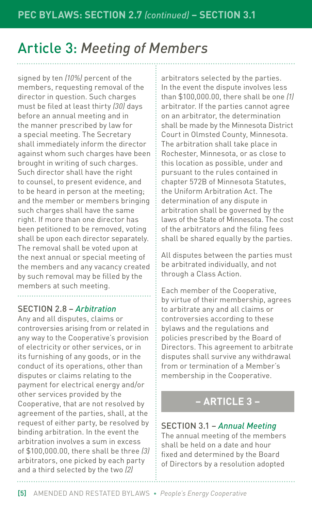signed by ten *(10%)* percent of the members, requesting removal of the director in question. Such charges must be filed at least thirty *(30)* days before an annual meeting and in the manner prescribed by law for a special meeting. The Secretary shall immediately inform the director against whom such charges have been brought in writing of such charges. Such director shall have the right to counsel, to present evidence, and to be heard in person at the meeting; and the member or members bringing such charges shall have the same right. If more than one director has been petitioned to be removed, voting shall be upon each director separately. The removal shall be voted upon at the next annual or special meeting of the members and any vacancy created by such removal may be filled by the members at such meeting.

#### SECTION 2.8 – *Arbitration*

Any and all disputes, claims or controversies arising from or related in any way to the Cooperative's provision of electricity or other services, or in its furnishing of any goods, or in the conduct of its operations, other than disputes or claims relating to the payment for electrical energy and/or other services provided by the Cooperative, that are not resolved by agreement of the parties, shall, at the request of either party, be resolved by binding arbitration. In the event the arbitration involves a sum in excess of \$100,000.00, there shall be three *(3)* arbitrators, one picked by each party and a third selected by the two *(2)*

arbitrators selected by the parties. In the event the dispute involves less than \$100,000.00, there shall be one *(1)* arbitrator. If the parties cannot agree on an arbitrator, the determination shall be made by the Minnesota District Court in Olmsted County, Minnesota. The arbitration shall take place in Rochester, Minnesota, or as close to this location as possible, under and pursuant to the rules contained in chapter 572B of Minnesota Statutes, the Uniform Arbitration Act. The determination of any dispute in arbitration shall be governed by the laws of the State of Minnesota. The cost of the arbitrators and the filing fees shall be shared equally by the parties.

All disputes between the parties must be arbitrated individually, and not through a Class Action.

Each member of the Cooperative, by virtue of their membership, agrees to arbitrate any and all claims or controversies according to these bylaws and the regulations and policies prescribed by the Board of Directors. This agreement to arbitrate disputes shall survive any withdrawal from or termination of a Member's membership in the Cooperative.

#### **– ARTICLE 3 –**

#### SECTION 3.1 – *Annual Meeting*

The annual meeting of the members shall be held on a date and hour fixed and determined by the Board of Directors by a resolution adopted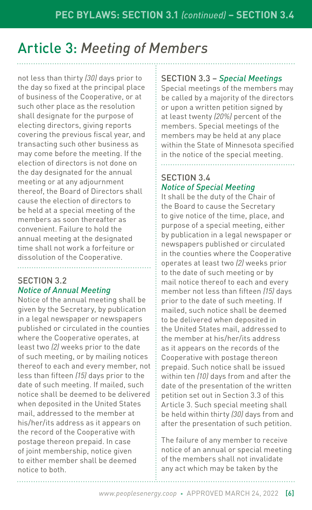not less than thirty *(30)* days prior to the day so fixed at the principal place of business of the Cooperative, or at such other place as the resolution shall designate for the purpose of electing directors, giving reports covering the previous fiscal year, and transacting such other business as may come before the meeting. If the election of directors is not done on the day designated for the annual meeting or at any adjournment thereof, the Board of Directors shall cause the election of directors to be held at a special meeting of the members as soon thereafter as convenient. Failure to hold the annual meeting at the designated time shall not work a forfeiture or dissolution of the Cooperative.

#### SECTION 3.2 *Notice of Annual Meeting*

Notice of the annual meeting shall be given by the Secretary, by publication in a legal newspaper or newspapers published or circulated in the counties where the Cooperative operates, at least two *(2)* weeks prior to the date of such meeting, or by mailing notices thereof to each and every member, not less than fifteen *(15)* days prior to the date of such meeting. If mailed, such notice shall be deemed to be delivered when deposited in the United States mail, addressed to the member at his/her/its address as it appears on the record of the Cooperative with postage thereon prepaid. In case of joint membership, notice given to either member shall be deemed notice to both.

#### SECTION 3.3 – *Special Meetings*

Special meetings of the members may be called by a majority of the directors or upon a written petition signed by at least twenty *(20%)* percent of the members. Special meetings of the members may be held at any place within the State of Minnesota specified in the notice of the special meeting.

#### SECTION 3.4 *Notice of Special Meeting*

It shall be the duty of the Chair of the Board to cause the Secretary to give notice of the time, place, and purpose of a special meeting, either by publication in a legal newspaper or newspapers published or circulated in the counties where the Cooperative operates at least two *(2)* weeks prior to the date of such meeting or by mail notice thereof to each and every member not less than fifteen *(15)* days prior to the date of such meeting. If mailed, such notice shall be deemed to be delivered when deposited in the United States mail, addressed to the member at his/her/its address as it appears on the records of the Cooperative with postage thereon prepaid. Such notice shall be issued within ten *(10)* days from and after the date of the presentation of the written petition set out in Section 3.3 of this Article 3. Such special meeting shall be held within thirty *(30)* days from and after the presentation of such petition.

The failure of any member to receive notice of an annual or special meeting of the members shall not invalidate any act which may be taken by the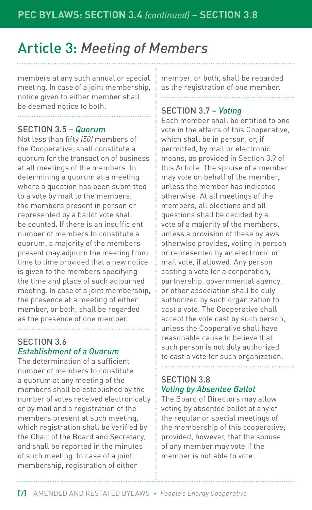members at any such annual or special meeting. In case of a joint membership, notice given to either member shall be deemed notice to both.

#### SECTION 3.5 – *Quorum*

Not less than fifty *(50)* members of the Cooperative, shall constitute a quorum for the transaction of business at all meetings of the members. In determining a quorum at a meeting where a question has been submitted to a vote by mail to the members, the members present in person or represented by a ballot vote shall be counted. If there is an insufficient number of members to constitute a quorum, a majority of the members present may adjourn the meeting from time to time provided that a new notice is given to the members specifying the time and place of such adjourned meeting. In case of a joint membership, the presence at a meeting of either member, or both, shall be regarded as the presence of one member.

#### SECTION 3.6 *Establishment of a Quorum*

The determination of a sufficient number of members to constitute a quorum at any meeting of the members shall be established by the number of votes received electronically or by mail and a registration of the members present at such meeting, which registration shall be verified by the Chair of the Board and Secretary, and shall be reported in the minutes of such meeting. In case of a joint membership, registration of either

member, or both, shall be regarded as the registration of one member.

#### SECTION 3.7 – *Voting*

Each member shall be entitled to one vote in the affairs of this Cooperative, which shall be in person, or, if permitted, by mail or electronic means, as provided in Section 3.9 of this Article. The spouse of a member may vote on behalf of the member, unless the member has indicated otherwise. At all meetings of the members, all elections and all questions shall be decided by a vote of a majority of the members, unless a provision of these bylaws otherwise provides, voting in person or represented by an electronic or mail vote, if allowed. Any person casting a vote for a corporation, partnership, governmental agency, or other association shall be duly authorized by such organization to cast a vote. The Cooperative shall accept the vote cast by such person, unless the Cooperative shall have reasonable cause to believe that such person is not duly authorized to cast a vote for such organization.

#### SECTION 3.8 *Voting by Absentee Ballot*

The Board of Directors may allow voting by absentee ballot at any of the regular or special meetings of the membership of this cooperative; provided, however, that the spouse of any member may vote if the member is not able to vote.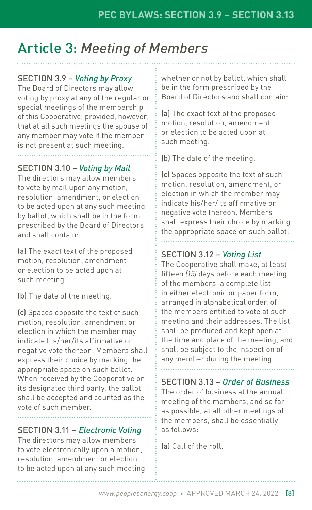#### SECTION 3.9 – *Voting by Proxy*

The Board of Directors may allow voting by proxy at any of the regular or special meetings of the membership of this Cooperative; provided, however, that at all such meetings the spouse of any member may vote if the member is not present at such meeting.

#### SECTION 3.10 – *Voting by Mail*

The directors may allow members to vote by mail upon any motion, resolution, amendment, or election to be acted upon at any such meeting by ballot, which shall be in the form prescribed by the Board of Directors and shall contain:

(a) The exact text of the proposed motion, resolution, amendment or election to be acted upon at such meeting.

(b) The date of the meeting.

(c) Spaces opposite the text of such motion, resolution, amendment or election in which the member may indicate his/her/its affirmative or negative vote thereon. Members shall express their choice by marking the appropriate space on such ballot. When received by the Cooperative or its designated third party, the ballot shall be accepted and counted as the vote of such member.

#### SECTION 3.11 – *Electronic Voting*

The directors may allow members to vote electronically upon a motion, resolution, amendment or election to be acted upon at any such meeting whether or not by ballot, which shall be in the form prescribed by the Board of Directors and shall contain:

(a) The exact text of the proposed motion, resolution, amendment or election to be acted upon at such meeting.

(b) The date of the meeting.

(c) Spaces opposite the text of such motion, resolution, amendment, or election in which the member may indicate his/her/its affirmative or negative vote thereon. Members shall express their choice by marking the appropriate space on such ballot.

#### SECTION 3.12 – *Voting List*

The Cooperative shall make, at least fifteen *(15)* days before each meeting of the members, a complete list in either electronic or paper form, arranged in alphabetical order, of the members entitled to vote at such meeting and their addresses. The list shall be produced and kept open at the time and place of the meeting, and shall be subject to the inspection of any member during the meeting.

SECTION 3.13 – *Order of Business*

The order of business at the annual meeting of the members, and so far as possible, at all other meetings of the members, shall be essentially as follows:

(a) Call of the roll.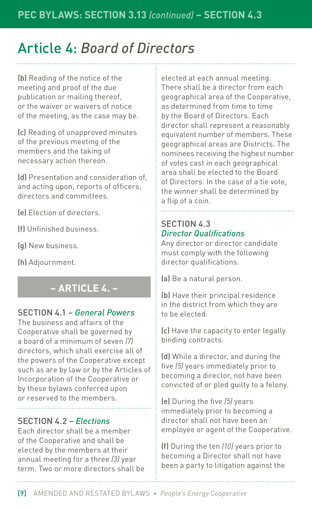(b) Reading of the notice of the meeting and proof of the due publication or mailing thereof, or the waiver or waivers of notice of the meeting, as the case may be.

(c) Reading of unapproved minutes of the previous meeting of the members and the taking of necessary action thereon.

(d) Presentation and consideration of, and acting upon, reports of officers, directors and committees.

(e) Election of directors.

(f) Unfinished business.

(g) New business.

(h) Adjournment.

#### **– ARTICLE 4. –**

#### SECTION 4.1 – *General Powers*

The business and affairs of the Cooperative shall be governed by a board of a minimum of seven *(7)* directors, which shall exercise all of the powers of the Cooperative except such as are by law or by the Articles of Incorporation of the Cooperative or by these bylaws conferred upon or reserved to the members.

#### SECTION 4.2 – *Elections*

Each director shall be a member of the Cooperative and shall be elected by the members at their annual meeting for a three *(3)* year term. Two or more directors shall be elected at each annual meeting. There shall be a director from each geographical area of the Cooperative, as determined from time to time by the Board of Directors. Each director shall represent a reasonably equivalent number of members. These geographical areas are Districts. The nominees receiving the highest number of votes cast in each geographical area shall be elected to the Board of Directors. In the case of a tie vote, the winner shall be determined by a flip of a coin.

#### SECTION 4.3 *Director Qualifications*

Any director or director candidate must comply with the following director qualifications.

(a) Be a natural person.

(b) Have their principal residence in the district from which they are to be elected.

(c) Have the capacity to enter legally binding contracts.

(d) While a director, and during the five *(5)* years immediately prior to becoming a director, not have been convicted of or pled guilty to a felony.

(e) During the five *(5)* years immediately prior to becoming a director shall not have been an employee or agent of the Cooperative.

(f) During the ten *(10)* years prior to becoming a Director shall not have been a party to litigation against the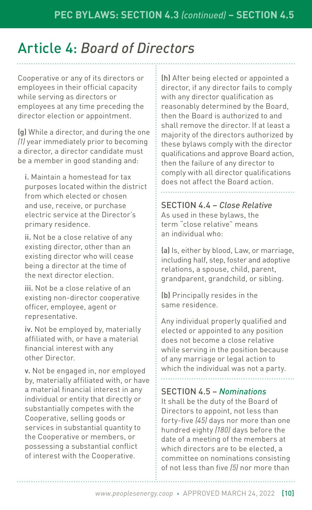Cooperative or any of its directors or employees in their official capacity while serving as directors or employees at any time preceding the director election or appointment.

(g) While a director, and during the one *(1)* year immediately prior to becoming a director, a director candidate must be a member in good standing and:

i. Maintain a homestead for tax purposes located within the district from which elected or chosen and use, receive, or purchase electric service at the Director's primary residence.

ii. Not be a close relative of any existing director, other than an existing director who will cease being a director at the time of the next director election.

iii. Not be a close relative of an existing non-director cooperative officer, employee, agent or representative.

iv. Not be employed by, materially affiliated with, or have a material financial interest with any other Director.

v. Not be engaged in, nor employed by, materially affiliated with, or have a material financial interest in any individual or entity that directly or substantially competes with the Cooperative, selling goods or services in substantial quantity to the Cooperative or members, or possessing a substantial conflict of interest with the Cooperative.

(h) After being elected or appointed a director, if any director fails to comply with any director qualification as reasonably determined by the Board, then the Board is authorized to and shall remove the director. If at least a majority of the directors authorized by these bylaws comply with the director qualifications and approve Board action, then the failure of any director to comply with all director qualifications does not affect the Board action.

SECTION 4.4 – *Close Relative* As used in these bylaws, the term "close relative" means an individual who:

(a) Is, either by blood, Law, or marriage, including half, step, foster and adoptive relations, a spouse, child, parent, grandparent, grandchild, or sibling.

(b) Principally resides in the same residence.

Any individual properly qualified and elected or appointed to any position does not become a close relative while serving in the position because of any marriage or legal action to which the individual was not a party.

#### SECTION 4.5 – *Nominations*

It shall be the duty of the Board of Directors to appoint, not less than forty-five *(45)* days nor more than one hundred eighty *(180)* days before the date of a meeting of the members at which directors are to be elected, a committee on nominations consisting of not less than five *(5)* nor more than

*www.peoplesenergy.coop* • APPROVED MARCH 24, 2022 [10]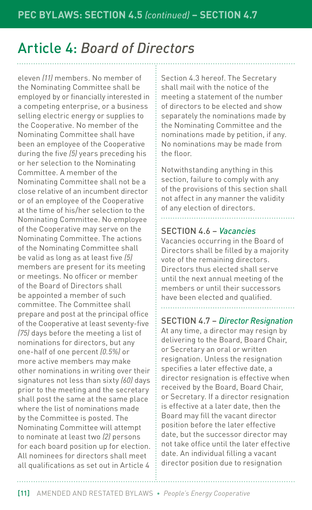eleven *(11)* members. No member of the Nominating Committee shall be employed by or financially interested in a competing enterprise, or a business selling electric energy or supplies to the Cooperative. No member of the Nominating Committee shall have been an employee of the Cooperative during the five *(5)* years preceding his or her selection to the Nominating Committee. A member of the Nominating Committee shall not be a close relative of an incumbent director or of an employee of the Cooperative at the time of his/her selection to the Nominating Committee. No employee of the Cooperative may serve on the Nominating Committee. The actions of the Nominating Committee shall be valid as long as at least five *(5)* members are present for its meeting or meetings. No officer or member of the Board of Directors shall be appointed a member of such committee. The Committee shall prepare and post at the principal office of the Cooperative at least seventy-five *(75)* days before the meeting a list of nominations for directors, but any one-half of one percent *(0.5%)* or more active members may make other nominations in writing over their signatures not less than sixty *(60)* days prior to the meeting and the secretary shall post the same at the same place where the list of nominations made by the Committee is posted. The Nominating Committee will attempt to nominate at least two *(2)* persons for each board position up for election. All nominees for directors shall meet all qualifications as set out in Article 4

Section 4.3 hereof. The Secretary shall mail with the notice of the meeting a statement of the number of directors to be elected and show separately the nominations made by the Nominating Committee and the nominations made by petition, if any. No nominations may be made from the floor.

Notwithstanding anything in this section, failure to comply with any of the provisions of this section shall not affect in any manner the validity of any election of directors.

#### SECTION 4.6 – *Vacancies*

Vacancies occurring in the Board of Directors shall be filled by a majority vote of the remaining directors. Directors thus elected shall serve until the next annual meeting of the members or until their successors have been elected and qualified.

#### SECTION 4.7 – *Director Resignation*

At any time, a director may resign by delivering to the Board, Board Chair, or Secretary an oral or written resignation. Unless the resignation specifies a later effective date, a director resignation is effective when received by the Board, Board Chair, or Secretary. If a director resignation is effective at a later date, then the Board may fill the vacant director position before the later effective date, but the successor director may not take office until the later effective date. An individual filling a vacant director position due to resignation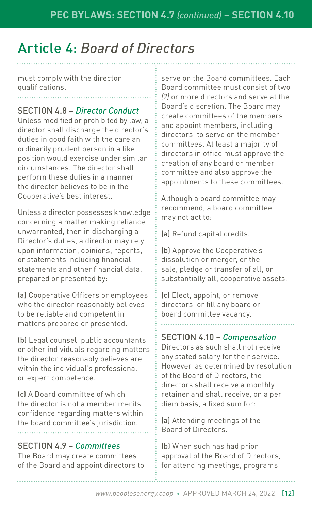must comply with the director qualifications.

#### SECTION 4.8 – *Director Conduct*

Unless modified or prohibited by law, a director shall discharge the director's duties in good faith with the care an ordinarily prudent person in a like position would exercise under similar circumstances. The director shall perform these duties in a manner the director believes to be in the Cooperative's best interest.

Unless a director possesses knowledge concerning a matter making reliance unwarranted, then in discharging a Director's duties, a director may rely upon information, opinions, reports, or statements including financial statements and other financial data, prepared or presented by:

(a) Cooperative Officers or employees who the director reasonably believes to be reliable and competent in matters prepared or presented.

(b) Legal counsel, public accountants, or other individuals regarding matters the director reasonably believes are within the individual's professional or expert competence.

(c) A Board committee of which the director is not a member merits confidence regarding matters within the board committee's jurisdiction.

#### SECTION 4.9 – *Committees*

The Board may create committees of the Board and appoint directors to serve on the Board committees. Each Board committee must consist of two *(2)* or more directors and serve at the Board's discretion. The Board may create committees of the members and appoint members, including directors, to serve on the member committees. At least a majority of directors in office must approve the creation of any board or member committee and also approve the appointments to these committees.

Although a board committee may recommend, a board committee may not act to:

(a) Refund capital credits.

(b) Approve the Cooperative's dissolution or merger, or the sale, pledge or transfer of all, or substantially all, cooperative assets.

(c) Elect, appoint, or remove directors, or fill any board or board committee vacancy.

#### SECTION 4.10 – *Compensation*

Directors as such shall not receive any stated salary for their service. However, as determined by resolution of the Board of Directors, the directors shall receive a monthly retainer and shall receive, on a per diem basis, a fixed sum for:

(a) Attending meetings of the Board of Directors.

(b) When such has had prior approval of the Board of Directors, for attending meetings, programs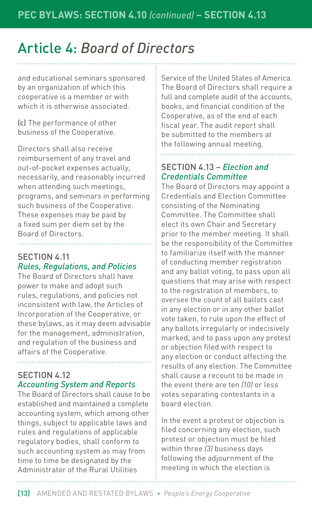and educational seminars sponsored by an organization of which this cooperative is a member or with which it is otherwise associated.

(c) The performance of other business of the Cooperative.

Directors shall also receive reimbursement of any travel and out-of-pocket expenses actually, necessarily, and reasonably incurred when attending such meetings, programs, and seminars in performing such business of the Cooperative. These expenses may be paid by a fixed sum per diem set by the Board of Directors.

#### SECTION 4.11 *Rules, Regulations, and Policies*

The Board of Directors shall have power to make and adopt such rules, regulations, and policies not inconsistent with law, the Articles of Incorporation of the Cooperative, or these bylaws, as it may deem advisable for the management, administration, and regulation of the business and affairs of the Cooperative.

#### SECTION 4.12 *Accounting System and Reports*

The Board of Directors shall cause to be established and maintained a complete accounting system, which among other things, subject to applicable laws and rules and regulations of applicable regulatory bodies, shall conform to such accounting system as may from time to time be designated by the Administrator of the Rural Utilities

Service of the United States of America. The Board of Directors shall require a full and complete audit of the accounts, books, and financial condition of the Cooperative, as of the end of each fiscal year. The audit report shall be submitted to the members at the following annual meeting.

#### SECTION 4.13 – *Election and Credentials Committee*

The Board of Directors may appoint a Credentials and Election Committee consisting of the Nominating Committee. The Committee shall elect its own Chair and Secretary prior to the member meeting. It shall be the responsibility of the Committee to familiarize itself with the manner of conducting member registration and any ballot voting, to pass upon all questions that may arise with respect to the registration of members, to oversee the count of all ballots cast in any election or in any other ballot vote taken, to rule upon the effect of any ballots irregularly or indecisively marked, and to pass upon any protest or objection filed with respect to any election or conduct affecting the results of any election. The Committee shall cause a recount to be made in the event there are ten *(10)* or less votes separating contestants in a board election.

In the event a protest or objection is filed concerning any election, such protest or objection must be filed within three *(3)* business days following the adjournment of the meeting in which the election is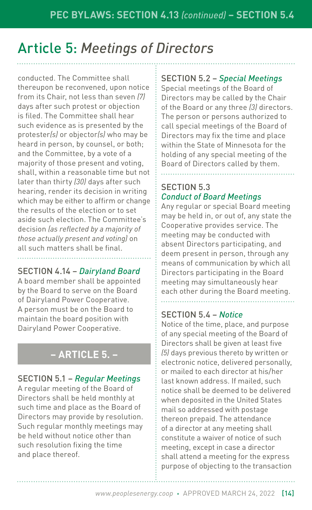## Article 5: *Meetings of Directors*

conducted. The Committee shall thereupon be reconvened, upon notice from its Chair, not less than seven *(7)* days after such protest or objection is filed. The Committee shall hear such evidence as is presented by the protester*(s)* or objector*(s)* who may be heard in person, by counsel, or both; and the Committee, by a vote of a majority of those present and voting, shall, within a reasonable time but not later than thirty *(30)* days after such hearing, render its decision in writing which may be either to affirm or change the results of the election or to set aside such election. The Committee's decision *(as reflected by a majority of those actually present and voting)* on all such matters shall be final.

#### SECTION 4.14 – *Dairyland Board*

A board member shall be appointed by the Board to serve on the Board of Dairyland Power Cooperative. A person must be on the Board to maintain the board position with Dairyland Power Cooperative.

#### **– ARTICLE 5. –**

#### SECTION 5.1 – *Regular Meetings*

A regular meeting of the Board of Directors shall be held monthly at such time and place as the Board of Directors may provide by resolution. Such regular monthly meetings may be held without notice other than such resolution fixing the time and place thereof.

#### SECTION 5.2 – *Special Meetings*

Special meetings of the Board of Directors may be called by the Chair of the Board or any three *(3)* directors. The person or persons authorized to call special meetings of the Board of Directors may fix the time and place within the State of Minnesota for the holding of any special meeting of the Board of Directors called by them.

#### SECTION 5.3 *Conduct of Board Meetings*

Any regular or special Board meeting may be held in, or out of, any state the Cooperative provides service. The meeting may be conducted with absent Directors participating, and deem present in person, through any means of communication by which all Directors participating in the Board meeting may simultaneously hear each other during the Board meeting.

#### SECTION 5.4 – *Notice*

Notice of the time, place, and purpose of any special meeting of the Board of Directors shall be given at least five *(5)* days previous thereto by written or electronic notice, delivered personally, or mailed to each director at his/her last known address. If mailed, such notice shall be deemed to be delivered when deposited in the United States mail so addressed with postage thereon prepaid. The attendance of a director at any meeting shall constitute a waiver of notice of such meeting, except in case a director shall attend a meeting for the express purpose of objecting to the transaction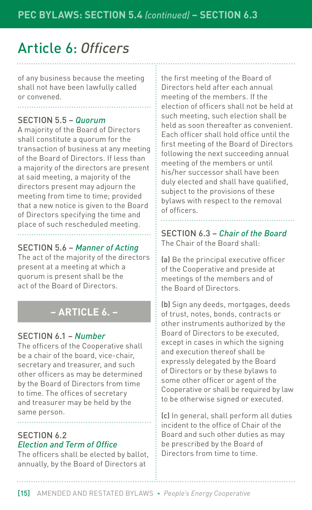## Article 6: *Officers*

of any business because the meeting shall not have been lawfully called or convened.

#### SECTION 5.5 – *Quorum*

A majority of the Board of Directors shall constitute a quorum for the transaction of business at any meeting of the Board of Directors. If less than a majority of the directors are present at said meeting, a majority of the directors present may adjourn the meeting from time to time; provided that a new notice is given to the Board of Directors specifying the time and place of such rescheduled meeting.

#### SECTION 5.6 – *Manner of Acting*

The act of the majority of the directors present at a meeting at which a quorum is present shall be the act of the Board of Directors.

#### **– ARTICLE 6. –**

#### SECTION 6.1 – *Number*

The officers of the Cooperative shall be a chair of the board, vice-chair, secretary and treasurer, and such other officers as may be determined by the Board of Directors from time to time. The offices of secretary and treasurer may be held by the same person.

#### SECTION 6.2 *Election and Term of Office*

The officers shall be elected by ballot, annually, by the Board of Directors at

the first meeting of the Board of Directors held after each annual meeting of the members. If the election of officers shall not be held at such meeting, such election shall be held as soon thereafter as convenient. Each officer shall hold office until the first meeting of the Board of Directors following the next succeeding annual meeting of the members or until his/her successor shall have been duly elected and shall have qualified, subject to the provisions of these bylaws with respect to the removal of officers.

SECTION 6.3 – *Chair of the Board* The Chair of the Board shall:

(a) Be the principal executive officer of the Cooperative and preside at meetings of the members and of the Board of Directors.

(b) Sign any deeds, mortgages, deeds of trust, notes, bonds, contracts or other instruments authorized by the Board of Directors to be executed, except in cases in which the signing and execution thereof shall be expressly delegated by the Board of Directors or by these bylaws to some other officer or agent of the Cooperative or shall be required by law to be otherwise signed or executed.

(c) In general, shall perform all duties incident to the office of Chair of the Board and such other duties as may be prescribed by the Board of Directors from time to time.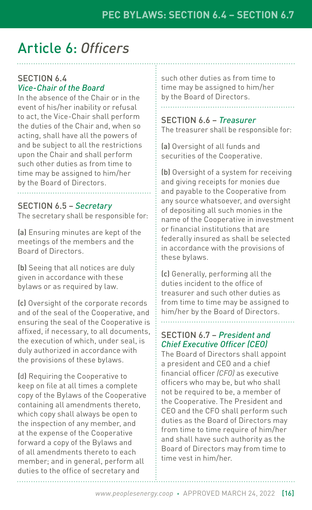## Article 6: *Officers*

#### SECTION 6.4 *Vice-Chair of the Board*

In the absence of the Chair or in the event of his/her inability or refusal to act, the Vice-Chair shall perform the duties of the Chair and, when so acting, shall have all the powers of and be subject to all the restrictions upon the Chair and shall perform such other duties as from time to time may be assigned to him/her by the Board of Directors.

#### SECTION 6.5 – *Secretary*

The secretary shall be responsible for:

(a) Ensuring minutes are kept of the meetings of the members and the Board of Directors.

(b) Seeing that all notices are duly given in accordance with these bylaws or as required by law.

(c) Oversight of the corporate records and of the seal of the Cooperative, and ensuring the seal of the Cooperative is affixed, if necessary, to all documents, the execution of which, under seal, is duly authorized in accordance with the provisions of these bylaws.

(d) Requiring the Cooperative to keep on file at all times a complete copy of the Bylaws of the Cooperative containing all amendments thereto, which copy shall always be open to the inspection of any member, and at the expense of the Cooperative forward a copy of the Bylaws and of all amendments thereto to each member; and in general, perform all duties to the office of secretary and

such other duties as from time to time may be assigned to him/her by the Board of Directors.

#### SECTION 6.6 – *Treasurer* The treasurer shall be responsible for:

(a) Oversight of all funds and securities of the Cooperative.

(b) Oversight of a system for receiving and giving receipts for monies due and payable to the Cooperative from any source whatsoever, and oversight of depositing all such monies in the name of the Cooperative in investment or financial institutions that are federally insured as shall be selected in accordance with the provisions of these bylaws.

(c) Generally, performing all the duties incident to the office of treasurer and such other duties as from time to time may be assigned to him/her by the Board of Directors.

#### SECTION 6.7 – *President and Chief Executive Officer (CEO)*

The Board of Directors shall appoint a president and CEO and a chief financial officer *(CFO)* as executive officers who may be, but who shall not be required to be, a member of the Cooperative. The President and CEO and the CFO shall perform such duties as the Board of Directors may from time to time require of him/her and shall have such authority as the Board of Directors may from time to time vest in him/her.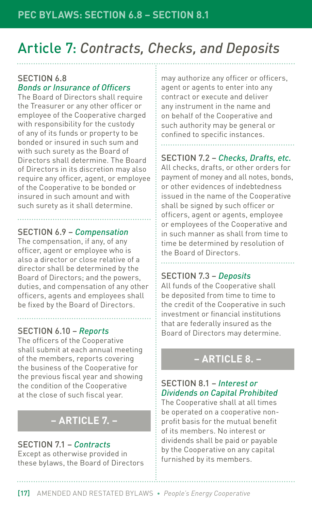## Article 7: *Contracts, Checks, and Deposits*

#### SECTION 6.8 *Bonds or Insurance of Officers*

The Board of Directors shall require the Treasurer or any other officer or employee of the Cooperative charged with responsibility for the custody of any of its funds or property to be bonded or insured in such sum and with such surety as the Board of Directors shall determine. The Board of Directors in its discretion may also require any officer, agent, or employee of the Cooperative to be bonded or insured in such amount and with such surety as it shall determine.

#### SECTION 6.9 – *Compensation*

The compensation, if any, of any officer, agent or employee who is also a director or close relative of a director shall be determined by the Board of Directors; and the powers, duties, and compensation of any other officers, agents and employees shall be fixed by the Board of Directors.

#### SECTION 6.10 – *Reports*

The officers of the Cooperative shall submit at each annual meeting of the members, reports covering the business of the Cooperative for the previous fiscal year and showing the condition of the Cooperative at the close of such fiscal year.

#### **– ARTICLE 7. –**

#### SECTION 7.1 – *Contracts*

Except as otherwise provided in these bylaws, the Board of Directors may authorize any officer or officers, agent or agents to enter into any contract or execute and deliver any instrument in the name and on behalf of the Cooperative and such authority may be general or confined to specific instances.

#### SECTION 7.2 – *Checks, Drafts, etc.*

All checks, drafts, or other orders for payment of money and all notes, bonds, or other evidences of indebtedness issued in the name of the Cooperative shall be signed by such officer or officers, agent or agents, employee or employees of the Cooperative and in such manner as shall from time to time be determined by resolution of the Board of Directors.

#### SECTION 7.3 – *Deposits*

All funds of the Cooperative shall be deposited from time to time to the credit of the Cooperative in such investment or financial institutions that are federally insured as the Board of Directors may determine.

#### **– ARTICLE 8. –**

#### SECTION 8.1 – *Interest or Dividends on Capital Prohibited*

The Cooperative shall at all times be operated on a cooperative nonprofit basis for the mutual benefit of its members. No interest or dividends shall be paid or payable by the Cooperative on any capital furnished by its members.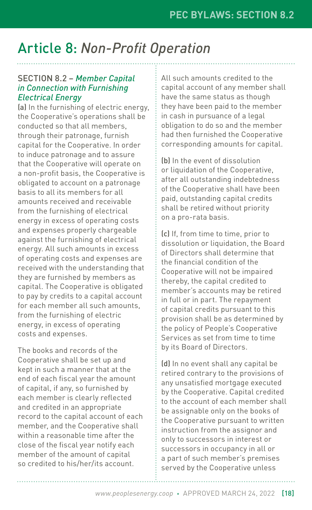## Article 8: *Non-Profit Operation*

#### SECTION 8.2 – *Member Capital in Connection with Furnishing Electrical Energy*

(a) In the furnishing of electric energy, the Cooperative's operations shall be conducted so that all members, through their patronage, furnish capital for the Cooperative. In order to induce patronage and to assure that the Cooperative will operate on a non-profit basis, the Cooperative is obligated to account on a patronage basis to all its members for all amounts received and receivable from the furnishing of electrical energy in excess of operating costs and expenses properly chargeable against the furnishing of electrical energy. All such amounts in excess of operating costs and expenses are received with the understanding that they are furnished by members as capital. The Cooperative is obligated to pay by credits to a capital account for each member all such amounts, from the furnishing of electric energy, in excess of operating costs and expenses.

The books and records of the Cooperative shall be set up and kept in such a manner that at the end of each fiscal year the amount of capital, if any, so furnished by each member is clearly reflected and credited in an appropriate record to the capital account of each member, and the Cooperative shall within a reasonable time after the close of the fiscal year notify each member of the amount of capital so credited to his/her/its account.

All such amounts credited to the capital account of any member shall have the same status as though they have been paid to the member in cash in pursuance of a legal obligation to do so and the member had then furnished the Cooperative corresponding amounts for capital.

(b) In the event of dissolution or liquidation of the Cooperative, after all outstanding indebtedness of the Cooperative shall have been paid, outstanding capital credits shall be retired without priority on a pro-rata basis.

(c) If, from time to time, prior to dissolution or liquidation, the Board of Directors shall determine that the financial condition of the Cooperative will not be impaired thereby, the capital credited to member's accounts may be retired in full or in part. The repayment of capital credits pursuant to this provision shall be as determined by the policy of People's Cooperative Services as set from time to time by its Board of Directors.

(d) In no event shall any capital be retired contrary to the provisions of any unsatisfied mortgage executed by the Cooperative. Capital credited to the account of each member shall be assignable only on the books of the Cooperative pursuant to written instruction from the assignor and only to successors in interest or successors in occupancy in all or a part of such member's premises served by the Cooperative unless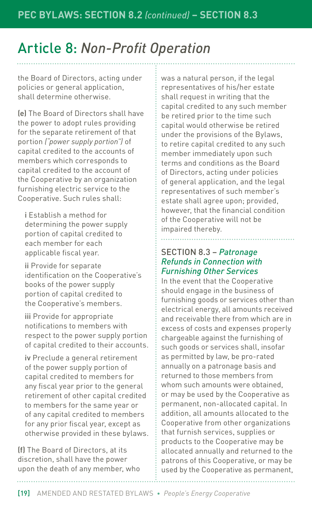## Article 8: *Non-Profit Operation*

the Board of Directors, acting under policies or general application, shall determine otherwise.

(e) The Board of Directors shall have the power to adopt rules providing for the separate retirement of that portion *("power supply portion")* of capital credited to the accounts of members which corresponds to capital credited to the account of the Cooperative by an organization furnishing electric service to the Cooperative. Such rules shall:

i Establish a method for determining the power supply portion of capital credited to each member for each applicable fiscal year.

ii Provide for separate identification on the Cooperative's books of the power supply portion of capital credited to the Cooperative's members.

iii Provide for appropriate notifications to members with respect to the power supply portion of capital credited to their accounts.

iv Preclude a general retirement of the power supply portion of capital credited to members for any fiscal year prior to the general retirement of other capital credited to members for the same year or of any capital credited to members for any prior fiscal year, except as otherwise provided in these bylaws.

(f) The Board of Directors, at its discretion, shall have the power upon the death of any member, who was a natural person, if the legal representatives of his/her estate shall request in writing that the capital credited to any such member be retired prior to the time such capital would otherwise be retired under the provisions of the Bylaws, to retire capital credited to any such member immediately upon such terms and conditions as the Board of Directors, acting under policies of general application, and the legal representatives of such member's estate shall agree upon; provided, however, that the financial condition of the Cooperative will not be impaired thereby.

#### SECTION 8.3 – *Patronage Refunds in Connection with Furnishing Other Services*

In the event that the Cooperative should engage in the business of furnishing goods or services other than electrical energy, all amounts received and receivable there from which are in excess of costs and expenses properly chargeable against the furnishing of such goods or services shall, insofar as permitted by law, be pro-rated annually on a patronage basis and returned to those members from whom such amounts were obtained, or may be used by the Cooperative as permanent, non-allocated capital. In addition, all amounts allocated to the Cooperative from other organizations that furnish services, supplies or products to the Cooperative may be allocated annually and returned to the patrons of this Cooperative, or may be used by the Cooperative as permanent,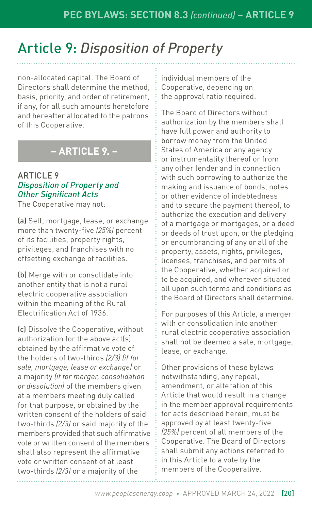## Article 9: *Disposition of Property*

non-allocated capital. The Board of Directors shall determine the method, basis, priority, and order of retirement, if any, for all such amounts heretofore and hereafter allocated to the patrons of this Cooperative.

#### **– ARTICLE 9. –**

#### ARTICLE 9 *Disposition of Property and Other Significant Acts*

The Cooperative may not:

(a) Sell, mortgage, lease, or exchange more than twenty-five *(25%)* percent of its facilities, property rights, privileges, and franchises with no offsetting exchange of facilities.

(b) Merge with or consolidate into another entity that is not a rural electric cooperative association within the meaning of the Rural Electrification Act of 1936.

(c) Dissolve the Cooperative, without authorization for the above act(s) obtained by the affirmative vote of the holders of two-thirds *(2/3) (if for sale, mortgage, lease or exchange)* or a majority *(if for merger, consolidation or dissolution)* of the members given at a members meeting duly called for that purpose, or obtained by the written consent of the holders of said two-thirds *(2/3)* or said majority of the members provided that such affirmative vote or written consent of the members shall also represent the affirmative vote or written consent of at least two-thirds *(2/3)* or a majority of the

individual members of the Cooperative, depending on the approval ratio required.

The Board of Directors without authorization by the members shall have full power and authority to borrow money from the United States of America or any agency or instrumentality thereof or from any other lender and in connection with such borrowing to authorize the making and issuance of bonds, notes or other evidence of indebtedness and to secure the payment thereof, to authorize the execution and delivery of a mortgage or mortgages, or a deed or deeds of trust upon, or the pledging or encumbrancing of any or all of the property, assets, rights, privileges, licenses, franchises, and permits of the Cooperative, whether acquired or to be acquired, and wherever situated all upon such terms and conditions as the Board of Directors shall determine.

For purposes of this Article, a merger with or consolidation into another rural electric cooperative association shall not be deemed a sale, mortgage, lease, or exchange.

Other provisions of these bylaws notwithstanding, any repeal, amendment, or alteration of this Article that would result in a change in the member approval requirements for acts described herein, must be approved by at least twenty-five *(25%)* percent of all members of the Cooperative. The Board of Directors shall submit any actions referred to in this Article to a vote by the members of the Cooperative.

*www.peoplesenergy.coop* • APPROVED MARCH 24, 2022 [20]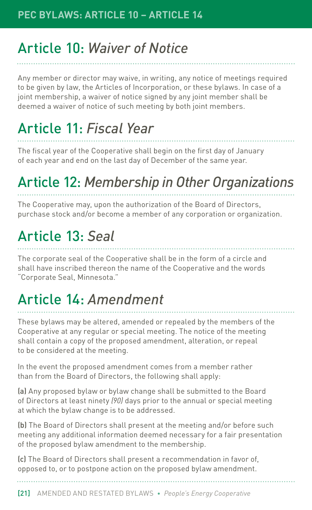## Article 10: *Waiver of Notice*

Any member or director may waive, in writing, any notice of meetings required to be given by law, the Articles of Incorporation, or these bylaws. In case of a joint membership, a waiver of notice signed by any joint member shall be deemed a waiver of notice of such meeting by both joint members.

## Article 11: *Fiscal Year*

The fiscal year of the Cooperative shall begin on the first day of January of each year and end on the last day of December of the same year.

## Article 12: *Membership in Other Organizations*

The Cooperative may, upon the authorization of the Board of Directors, purchase stock and/or become a member of any corporation or organization.

## Article 13: *Seal*

The corporate seal of the Cooperative shall be in the form of a circle and shall have inscribed thereon the name of the Cooperative and the words "Corporate Seal, Minnesota."

## Article 14: *Amendment*

These bylaws may be altered, amended or repealed by the members of the Cooperative at any regular or special meeting. The notice of the meeting shall contain a copy of the proposed amendment, alteration, or repeal to be considered at the meeting.

In the event the proposed amendment comes from a member rather than from the Board of Directors, the following shall apply:

(a) Any proposed bylaw or bylaw change shall be submitted to the Board of Directors at least ninety *(90)* days prior to the annual or special meeting at which the bylaw change is to be addressed.

(b) The Board of Directors shall present at the meeting and/or before such meeting any additional information deemed necessary for a fair presentation of the proposed bylaw amendment to the membership.

(c) The Board of Directors shall present a recommendation in favor of, opposed to, or to postpone action on the proposed bylaw amendment.

[21] AMENDED AND RESTATED BYLAWS • *People's Energy Cooperative*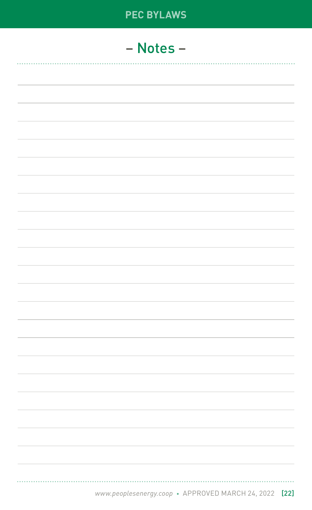# **PEC BYLAWS** – Notes – ........................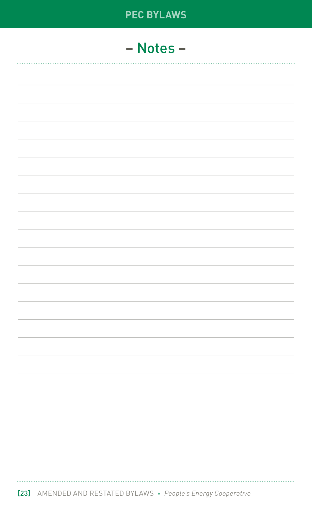| <b>PEC BYLAWS</b> |
|-------------------|
| - Notes -         |
|                   |
|                   |
|                   |
|                   |
|                   |
|                   |
|                   |
|                   |
|                   |
|                   |
|                   |
|                   |
|                   |
|                   |
|                   |
|                   |
|                   |
|                   |
|                   |
|                   |
|                   |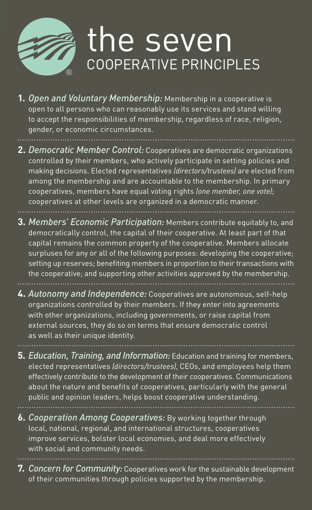

## the seven COOPERATIVE PRINCIPLES

- **1.** *Open and Voluntary Membership:* Membership in a cooperative is open to all persons who can reasonably use its services and stand willing to accept the responsibilities of membership, regardless of race, religion, gender, or economic circumstances.
- **2.** *Democratic Member Control:* Cooperatives are democratic organizations controlled by their members, who actively participate in setting policies and making decisions. Elected representatives *(directors/trustees)* are elected from among the membership and are accountable to the membership. In primary cooperatives, members have equal voting rights *(one member, one vote)*; cooperatives at other levels are organized in a democratic manner.
- **3.** *Members' Economic Participation:* Members contribute equitably to, and democratically control, the capital of their cooperative. At least part of that capital remains the common property of the cooperative. Members allocate surpluses for any or all of the following purposes: developing the cooperative; setting up reserves; benefiting members in proportion to their transactions with the cooperative; and supporting other activities approved by the membership.
- **4.** *Autonomy and Independence:* Cooperatives are autonomous, self-help organizations controlled by their members. If they enter into agreements with other organizations, including governments, or raise capital from external sources, they do so on terms that ensure democratic control as well as their unique identity.
- **5.** *Education, Training, and Information:* Education and training for members, elected representatives *(directors/trustees)*, CEOs, and employees help them effectively contribute to the development of their cooperatives. Communications about the nature and benefits of cooperatives, particularly with the general public and opinion leaders, helps boost cooperative understanding.
- **6.** *Cooperation Among Cooperatives:* By working together through local, national, regional, and international structures, cooperatives improve services, bolster local economies, and deal more effectively with social and community needs.
- **7.** *Concern for Community:* Cooperatives work for the sustainable development of their communities through policies supported by the membership.